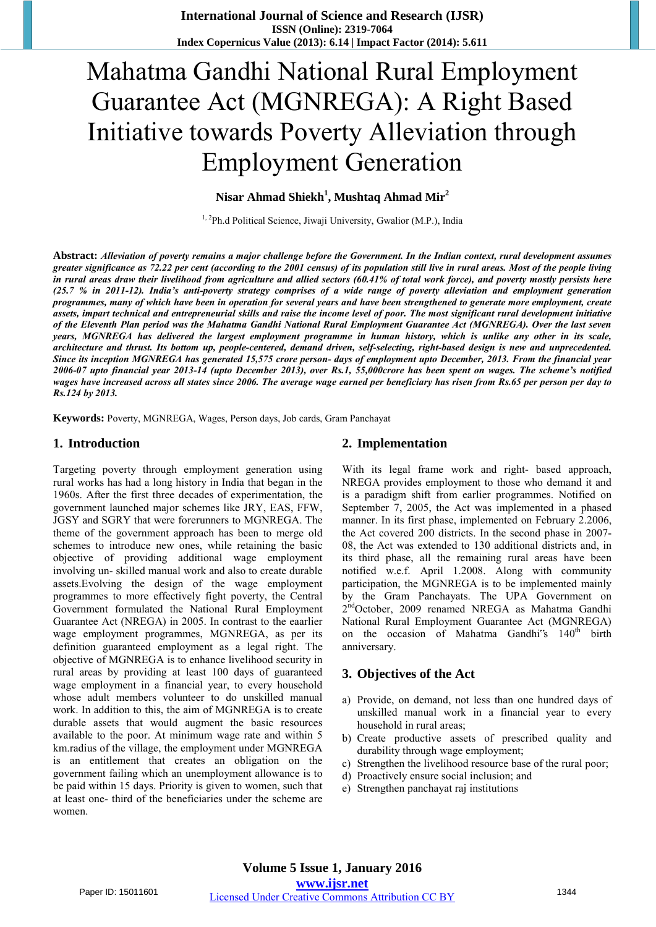# Mahatma Gandhi National Rural Employment Guarantee Act (MGNREGA): A Right Based Initiative towards Poverty Alleviation through Employment Generation

## **Nisar Ahmad Shiekh<sup>1</sup> , Mushtaq Ahmad Mir<sup>2</sup>**

<sup>1, 2</sup>Ph.d Political Science, Jiwaji University, Gwalior (M.P.), India

**Abstract:** *Alleviation of poverty remains a major challenge before the Government. In the Indian context, rural development assumes greater significance as 72.22 per cent (according to the 2001 census) of its population still live in rural areas. Most of the people living in rural areas draw their livelihood from agriculture and allied sectors (60.41% of total work force), and poverty mostly persists here (25.7 % in 2011-12). India's anti-poverty strategy comprises of a wide range of poverty alleviation and employment generation programmes, many of which have been in operation for several years and have been strengthened to generate more employment, create assets, impart technical and entrepreneurial skills and raise the income level of poor. The most significant rural development initiative of the Eleventh Plan period was the Mahatma Gandhi National Rural Employment Guarantee Act (MGNREGA). Over the last seven years, MGNREGA has delivered the largest employment programme in human history, which is unlike any other in its scale, architecture and thrust. Its bottom up, people-centered, demand driven, self-selecting, right-based design is new and unprecedented. Since its inception MGNREGA has generated 15,575 crore person- days of employment upto December, 2013. From the financial year 2006-07 upto financial year 2013-14 (upto December 2013), over Rs.1, 55,000crore has been spent on wages. The scheme's notified wages have increased across all states since 2006. The average wage earned per beneficiary has risen from Rs.65 per person per day to Rs.124 by 2013.* 

**Keywords:** Poverty, MGNREGA, Wages, Person days, Job cards, Gram Panchayat

#### **1. Introduction**

Targeting poverty through employment generation using rural works has had a long history in India that began in the 1960s. After the first three decades of experimentation, the government launched major schemes like JRY, EAS, FFW, JGSY and SGRY that were forerunners to MGNREGA. The theme of the government approach has been to merge old schemes to introduce new ones, while retaining the basic objective of providing additional wage employment involving un- skilled manual work and also to create durable assets.Evolving the design of the wage employment programmes to more effectively fight poverty, the Central Government formulated the National Rural Employment Guarantee Act (NREGA) in 2005. In contrast to the eaarlier wage employment programmes, MGNREGA, as per its definition guaranteed employment as a legal right. The objective of MGNREGA is to enhance livelihood security in rural areas by providing at least 100 days of guaranteed wage employment in a financial year, to every household whose adult members volunteer to do unskilled manual work. In addition to this, the aim of MGNREGA is to create durable assets that would augment the basic resources available to the poor. At minimum wage rate and within 5 km.radius of the village, the employment under MGNREGA is an entitlement that creates an obligation on the government failing which an unemployment allowance is to be paid within 15 days. Priority is given to women, such that at least one- third of the beneficiaries under the scheme are women.

#### **2. Implementation**

With its legal frame work and right- based approach, NREGA provides employment to those who demand it and is a paradigm shift from earlier programmes. Notified on September 7, 2005, the Act was implemented in a phased manner. In its first phase, implemented on February 2.2006, the Act covered 200 districts. In the second phase in 2007- 08, the Act was extended to 130 additional districts and, in its third phase, all the remaining rural areas have been notified w.e.f. April 1.2008. Along with community participation, the MGNREGA is to be implemented mainly by the Gram Panchayats. The UPA Government on 2<sup>nd</sup>October, 2009 renamed NREGA as Mahatma Gandhi National Rural Employment Guarantee Act (MGNREGA) on the occasion of Mahatma Gandhi<sup>t's</sup> 140<sup>th</sup> birth anniversary.

#### **3. Objectives of the Act**

- a) Provide, on demand, not less than one hundred days of unskilled manual work in a financial year to every household in rural areas;
- b) Create productive assets of prescribed quality and durability through wage employment;
- c) Strengthen the livelihood resource base of the rural poor;
- d) Proactively ensure social inclusion; and
- e) Strengthen panchayat raj institutions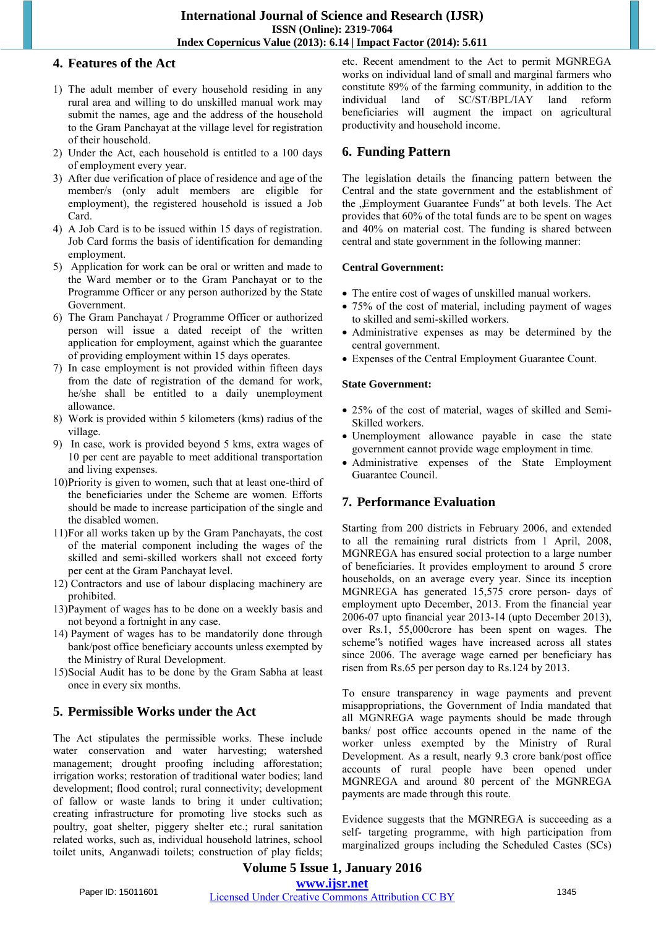## **4. Features of the Act**

- 1) The adult member of every household residing in any rural area and willing to do unskilled manual work may submit the names, age and the address of the household to the Gram Panchayat at the village level for registration of their household.
- 2) Under the Act, each household is entitled to a 100 days of employment every year.
- 3) After due verification of place of residence and age of the member/s (only adult members are eligible for employment), the registered household is issued a Job Card.
- 4) A Job Card is to be issued within 15 days of registration. Job Card forms the basis of identification for demanding employment.
- 5) Application for work can be oral or written and made to the Ward member or to the Gram Panchayat or to the Programme Officer or any person authorized by the State Government.
- 6) The Gram Panchayat / Programme Officer or authorized person will issue a dated receipt of the written application for employment, against which the guarantee of providing employment within 15 days operates.
- 7) In case employment is not provided within fifteen days from the date of registration of the demand for work, he/she shall be entitled to a daily unemployment allowance.
- 8) Work is provided within 5 kilometers (kms) radius of the village.
- 9) In case, work is provided beyond 5 kms, extra wages of 10 per cent are payable to meet additional transportation and living expenses.
- 10)Priority is given to women, such that at least one-third of the beneficiaries under the Scheme are women. Efforts should be made to increase participation of the single and the disabled women.
- 11)For all works taken up by the Gram Panchayats, the cost of the material component including the wages of the skilled and semi-skilled workers shall not exceed forty per cent at the Gram Panchayat level.
- 12) Contractors and use of labour displacing machinery are prohibited.
- 13)Payment of wages has to be done on a weekly basis and not beyond a fortnight in any case.
- 14) Payment of wages has to be mandatorily done through bank/post office beneficiary accounts unless exempted by the Ministry of Rural Development.
- 15)Social Audit has to be done by the Gram Sabha at least once in every six months.

# **5. Permissible Works under the Act**

The Act stipulates the permissible works. These include water conservation and water harvesting; watershed management; drought proofing including afforestation; irrigation works; restoration of traditional water bodies; land development; flood control; rural connectivity; development of fallow or waste lands to bring it under cultivation; creating infrastructure for promoting live stocks such as poultry, goat shelter, piggery shelter etc.; rural sanitation related works, such as, individual household latrines, school toilet units, Anganwadi toilets; construction of play fields; etc. Recent amendment to the Act to permit MGNREGA works on individual land of small and marginal farmers who constitute 89% of the farming community, in addition to the individual land of SC/ST/BPL/IAY land reform individual land of SC/ST/BPL/IAY land beneficiaries will augment the impact on agricultural productivity and household income.

# **6. Funding Pattern**

The legislation details the financing pattern between the Central and the state government and the establishment of the , Employment Guarantee Funds" at both levels. The Act provides that 60% of the total funds are to be spent on wages and 40% on material cost. The funding is shared between central and state government in the following manner:

#### **Central Government:**

- The entire cost of wages of unskilled manual workers.
- 75% of the cost of material, including payment of wages to skilled and semi-skilled workers.
- Administrative expenses as may be determined by the central government.
- Expenses of the Central Employment Guarantee Count.

#### **State Government:**

- 25% of the cost of material, wages of skilled and Semi-Skilled workers.
- Unemployment allowance payable in case the state government cannot provide wage employment in time.
- Administrative expenses of the State Employment Guarantee Council.

## **7. Performance Evaluation**

Starting from 200 districts in February 2006, and extended to all the remaining rural districts from 1 April, 2008, MGNREGA has ensured social protection to a large number of beneficiaries. It provides employment to around 5 crore households, on an average every year. Since its inception MGNREGA has generated 15,575 crore person- days of employment upto December, 2013. From the financial year 2006-07 upto financial year 2013-14 (upto December 2013), over Rs.1, 55,000crore has been spent on wages. The scheme"s notified wages have increased across all states since 2006. The average wage earned per beneficiary has risen from Rs.65 per person day to Rs.124 by 2013.

To ensure transparency in wage payments and prevent misappropriations, the Government of India mandated that all MGNREGA wage payments should be made through banks/ post office accounts opened in the name of the worker unless exempted by the Ministry of Rural Development. As a result, nearly 9.3 crore bank/post office accounts of rural people have been opened under MGNREGA and around 80 percent of the MGNREGA payments are made through this route.

Evidence suggests that the MGNREGA is succeeding as a self- targeting programme, with high participation from marginalized groups including the Scheduled Castes (SCs)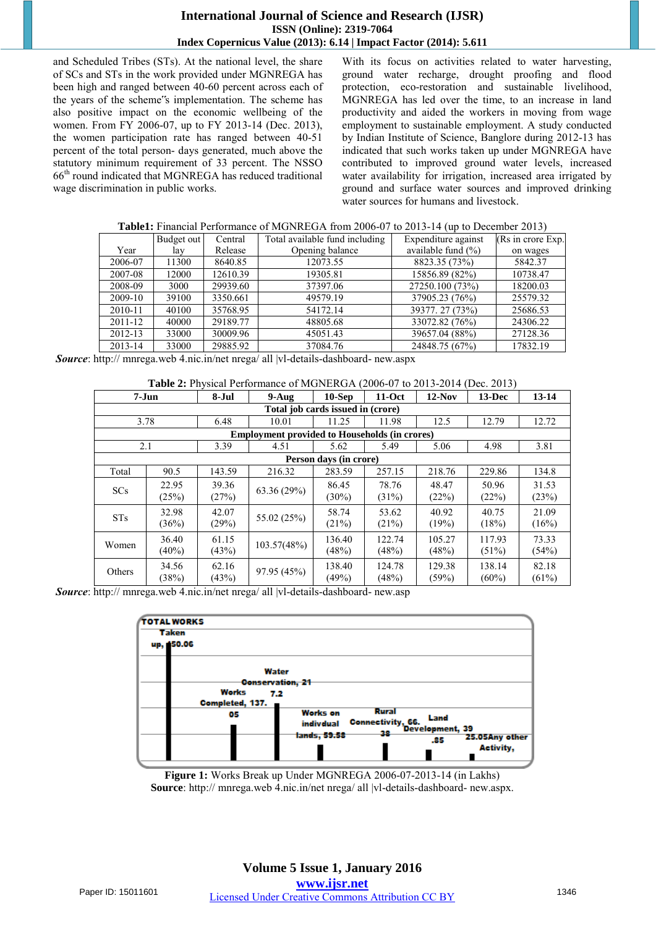#### **International Journal of Science and Research (IJSR) ISSN (Online): 2319-7064 Index Copernicus Value (2013): 6.14 | Impact Factor (2014): 5.611**

and Scheduled Tribes (STs). At the national level, the share of SCs and STs in the work provided under MGNREGA has been high and ranged between 40-60 percent across each of the years of the scheme"s implementation. The scheme has also positive impact on the economic wellbeing of the women. From FY 2006-07, up to FY 2013-14 (Dec. 2013), the women participation rate has ranged between 40-51 percent of the total person- days generated, much above the statutory minimum requirement of 33 percent. The NSSO 66th round indicated that MGNREGA has reduced traditional wage discrimination in public works.

With its focus on activities related to water harvesting, ground water recharge, drought proofing and flood protection, eco-restoration and sustainable livelihood, MGNREGA has led over the time, to an increase in land productivity and aided the workers in moving from wage employment to sustainable employment. A study conducted by Indian Institute of Science, Banglore during 2012-13 has indicated that such works taken up under MGNREGA have contributed to improved ground water levels, increased water availability for irrigation, increased area irrigated by ground and surface water sources and improved drinking water sources for humans and livestock.

| <b>Table1:</b> Financial Performance of MGNREGA from 2006-07 to 2013-14 (up to December 2013) |  |  |                                                                                                                                                                                                                         |  |  |  |
|-----------------------------------------------------------------------------------------------|--|--|-------------------------------------------------------------------------------------------------------------------------------------------------------------------------------------------------------------------------|--|--|--|
|                                                                                               |  |  | $\mathbf{D}_{11}$ and $\mathbf{D}_{21}$ and $\mathbf{D}_{31}$ and $\mathbf{D}_{41}$ and $\mathbf{D}_{41}$ and $\mathbf{D}_{41}$ and $\mathbf{D}_{41}$ and $\mathbf{D}_{41}$ and $\mathbf{D}_{41}$ and $\mathbf{D}_{41}$ |  |  |  |

|         | Budget out | Central  | Total available fund including | Expenditure against   | (Rs in crore Exp.) |
|---------|------------|----------|--------------------------------|-----------------------|--------------------|
| Year    | lay        | Release  | Opening balance                | available fund $(\%)$ | on wages           |
| 2006-07 | 11300      | 8640.85  | 12073.55                       | 8823.35 (73%)         | 5842.37            |
| 2007-08 | 12000      | 12610.39 | 19305.81                       | 15856.89 (82%)        | 10738.47           |
| 2008-09 | 3000       | 29939.60 | 37397.06                       | 27250.100 (73%)       | 18200.03           |
| 2009-10 | 39100      | 3350.661 | 49579.19                       | 37905.23 (76%)        | 25579.32           |
| 2010-11 | 40100      | 35768.95 | 54172.14                       | 39377.27 (73%)        | 25686.53           |
| 2011-12 | 40000      | 29189.77 | 48805.68                       | 33072.82 (76%)        | 24306.22           |
| 2012-13 | 33000      | 30009.96 | 45051.43                       | 39657.04 (88%)        | 27128.36           |
| 2013-14 | 33000      | 29885.92 | 37084.76                       | 24848.75 (67%)        | 17832.19           |

 *Source*: http:// mnrega.web 4.nic.in/net nrega/ all |vl-details-dashboard- new.aspx

#### **Table 2:** Physical Performance of MGNERGA (2006-07 to 2013-2014 (Dec. 2013)

|                                                      | $7-Jun$                | 8-Jul  | $9-Auq$     | $10$ -Sep | $11-Oct$ | $12-Nov$ | $13-Dec$ | $13 - 14$ |
|------------------------------------------------------|------------------------|--------|-------------|-----------|----------|----------|----------|-----------|
| Total job cards issued in (crore)                    |                        |        |             |           |          |          |          |           |
| 3.78                                                 |                        | 6.48   | 10.01       | 11.25     | 11.98    | 12.5     | 12.79    | 12.72     |
| <b>Employment provided to Households (in crores)</b> |                        |        |             |           |          |          |          |           |
| 2.1                                                  |                        | 3.39   | 4.51        | 5.62      | 5.49     | 5.06     | 4.98     | 3.81      |
|                                                      | Person days (in crore) |        |             |           |          |          |          |           |
| Total                                                | 90.5                   | 143.59 | 216.32      | 283.59    | 257.15   | 218.76   | 229.86   | 134.8     |
| SCs                                                  | 22.95                  | 39.36  | 63.36(29%)  | 86.45     | 78.76    | 48.47    | 50.96    | 31.53     |
|                                                      | (25%)                  | (27%)  |             | (30%)     | (31%)    | (22%)    | (22%)    | (23%)     |
| <b>STs</b>                                           | 32.98                  | 42.07  | 55.02 (25%) | 58.74     | 53.62    | 40.92    | 40.75    | 21.09     |
|                                                      | (36%)                  | (29%)  |             | (21%)     | (21%)    | (19%)    | (18%)    | (16%)     |
| Women                                                | 36.40                  | 61.15  |             | 136.40    | 122.74   | 105.27   | 117.93   | 73.33     |
|                                                      | $(40\%)$               | (43%)  | 103.57(48%) | (48%)     | (48%)    | (48%)    | $(51\%)$ | (54%)     |
|                                                      | 34.56                  | 62.16  |             | 138.40    | 124.78   | 129.38   | 138.14   | 82.18     |
| Others                                               | (38%)                  | (43%)  | 97.95 (45%) | (49%)     | (48%)    | (59%)    | $(60\%)$ | (61%)     |

 *Source*: http:// mnrega.web 4.nic.in/net nrega/ all |vl-details-dashboard- new.asp



**Figure 1:** Works Break up Under MGNREGA 2006-07-2013-14 (in Lakhs) **Source**: http:// mnrega.web 4.nic.in/net nrega/ all |vl-details-dashboard- new.aspx.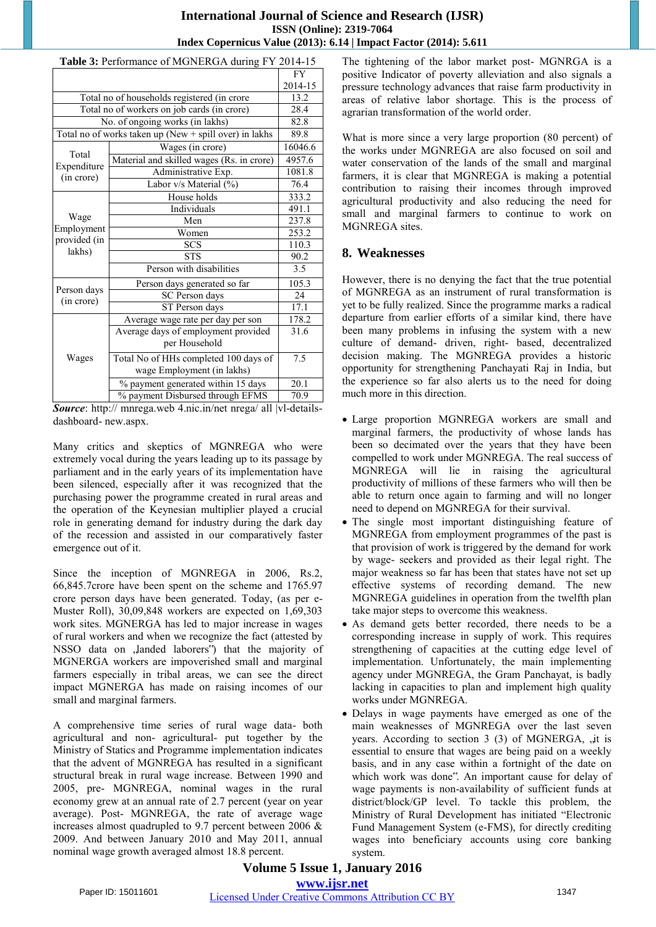#### **International Journal of Science and Research (IJSR) ISSN (Online): 2319-7064 Index Copernicus Value (2013): 6.14 | Impact Factor (2014): 5.611**

| Table 3: Performance of MGNERGA during FY 2014-15      |                                           |         |  |  |  |
|--------------------------------------------------------|-------------------------------------------|---------|--|--|--|
|                                                        | <b>FY</b>                                 |         |  |  |  |
|                                                        | 2014-15                                   |         |  |  |  |
| Total no of households registered (in crore            | 13.2                                      |         |  |  |  |
| Total no of workers on job cards (in crore)            | 28.4                                      |         |  |  |  |
| No. of ongoing works (in lakhs)                        | 82.8                                      |         |  |  |  |
| Total no of works taken up (New + spill over) in lakhs |                                           |         |  |  |  |
| Total                                                  | Wages (in crore)                          | 16046.6 |  |  |  |
| Expenditure                                            | Material and skilled wages (Rs. in crore) | 4957.6  |  |  |  |
| (in crore)                                             | Administrative Exp.                       | 1081.8  |  |  |  |
|                                                        | Labor v/s Material (%)                    | 76.4    |  |  |  |
|                                                        | House holds                               | 333.2   |  |  |  |
|                                                        | <b>Individuals</b>                        | 491.1   |  |  |  |
| Wage                                                   | Men                                       | 237.8   |  |  |  |
| Employment                                             | Women                                     | 253.2   |  |  |  |
| provided (in                                           | <b>SCS</b>                                | 110.3   |  |  |  |
| lakhs)                                                 | <b>STS</b>                                | 90.2    |  |  |  |
|                                                        | Person with disabilities                  | 3.5     |  |  |  |
| Person days                                            | Person days generated so far              | 105.3   |  |  |  |
| (in crore)                                             | SC Person days                            | 24      |  |  |  |
|                                                        | ST Person days                            | 17.1    |  |  |  |
|                                                        | Average wage rate per day per son         | 178.2   |  |  |  |
|                                                        | Average days of employment provided       | 31.6    |  |  |  |
|                                                        | per Household                             |         |  |  |  |
| Wages                                                  | Total No of HHs completed 100 days of     | 7.5     |  |  |  |
|                                                        | wage Employment (in lakhs)                |         |  |  |  |
|                                                        | % payment generated within 15 days        | 20.1    |  |  |  |
|                                                        | % payment Disbursed through EFMS          | 70.9    |  |  |  |

*Source*: http:// mnrega.web 4.nic.in/net nrega/ all |vl-detailsdashboard- new.aspx.

Many critics and skeptics of MGNREGA who were extremely vocal during the years leading up to its passage by parliament and in the early years of its implementation have been silenced, especially after it was recognized that the purchasing power the programme created in rural areas and the operation of the Keynesian multiplier played a crucial role in generating demand for industry during the dark day of the recession and assisted in our comparatively faster emergence out of it.

Since the inception of MGNREGA in 2006, Rs.2, 66,845.7crore have been spent on the scheme and 1765.97 crore person days have been generated. Today, (as per e-Muster Roll), 30,09,848 workers are expected on 1,69,303 work sites. MGNERGA has led to major increase in wages of rural workers and when we recognize the fact (attested by NSSO data on ,landed laborers") that the majority of MGNERGA workers are impoverished small and marginal farmers especially in tribal areas, we can see the direct impact MGNERGA has made on raising incomes of our small and marginal farmers.

A comprehensive time series of rural wage data- both agricultural and non- agricultural- put together by the Ministry of Statics and Programme implementation indicates that the advent of MGNREGA has resulted in a significant structural break in rural wage increase. Between 1990 and 2005, pre- MGNREGA, nominal wages in the rural economy grew at an annual rate of 2.7 percent (year on year average). Post- MGNREGA, the rate of average wage increases almost quadrupled to 9.7 percent between 2006 & 2009. And between January 2010 and May 2011, annual nominal wage growth averaged almost 18.8 percent.

The tightening of the labor market post- MGNRGA is a positive Indicator of poverty alleviation and also signals a pressure technology advances that raise farm productivity in areas of relative labor shortage. This is the process of agrarian transformation of the world order.

What is more since a very large proportion (80 percent) of the works under MGNREGA are also focused on soil and water conservation of the lands of the small and marginal farmers, it is clear that MGNREGA is making a potential contribution to raising their incomes through improved agricultural productivity and also reducing the need for small and marginal farmers to continue to work on MGNREGA sites.

## **8. Weaknesses**

However, there is no denying the fact that the true potential of MGNREGA as an instrument of rural transformation is yet to be fully realized. Since the programme marks a radical departure from earlier efforts of a similar kind, there have been many problems in infusing the system with a new culture of demand- driven, right- based, decentralized decision making. The MGNREGA provides a historic opportunity for strengthening Panchayati Raj in India, but the experience so far also alerts us to the need for doing much more in this direction.

- Large proportion MGNREGA workers are small and marginal farmers, the productivity of whose lands has been so decimated over the years that they have been compelled to work under MGNREGA. The real success of MGNREGA will lie in raising the agricultural productivity of millions of these farmers who will then be able to return once again to farming and will no longer need to depend on MGNREGA for their survival.
- The single most important distinguishing feature of MGNREGA from employment programmes of the past is that provision of work is triggered by the demand for work by wage- seekers and provided as their legal right. The major weakness so far has been that states have not set up effective systems of recording demand. The new MGNREGA guidelines in operation from the twelfth plan take major steps to overcome this weakness.
- As demand gets better recorded, there needs to be a corresponding increase in supply of work. This requires strengthening of capacities at the cutting edge level of implementation. Unfortunately, the main implementing agency under MGNREGA, the Gram Panchayat, is badly lacking in capacities to plan and implement high quality works under MGNREGA.
- Delays in wage payments have emerged as one of the main weaknesses of MGNREGA over the last seven years. According to section  $3(3)$  of MGNERGA,  $\mu$  it is essential to ensure that wages are being paid on a weekly basis, and in any case within a fortnight of the date on which work was done". An important cause for delay of wage payments is non-availability of sufficient funds at district/block/GP level. To tackle this problem, the Ministry of Rural Development has initiated "Electronic Fund Management System (e-FMS), for directly crediting wages into beneficiary accounts using core banking system.